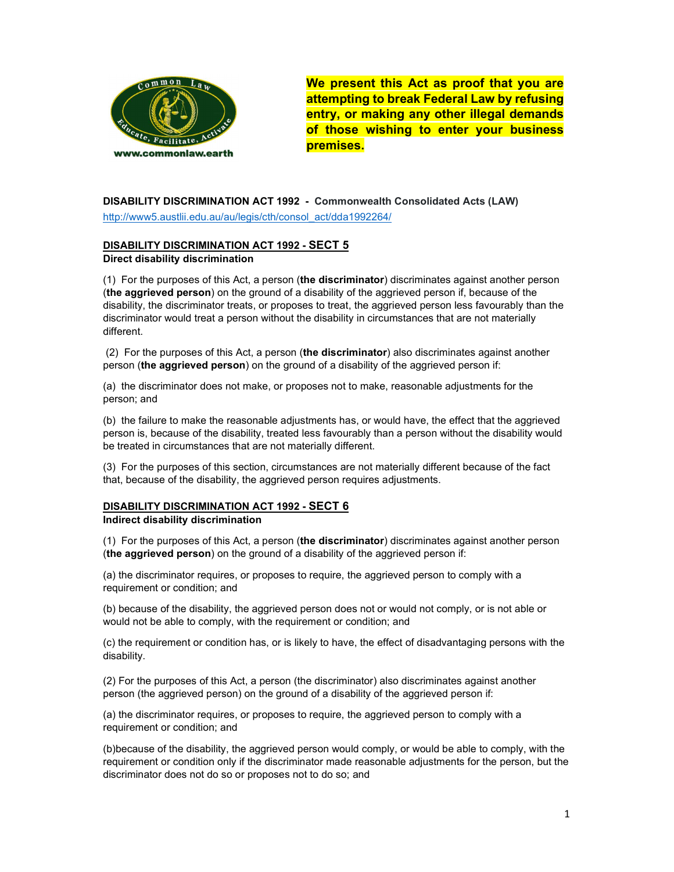

We present this Act as proof that you are attempting to break Federal Law by refusing entry, or making any other illegal demands of those wishing to enter your business premises.

## DISABILITY DISCRIMINATION ACT 1992 - Commonwealth Consolidated Acts (LAW) http://www5.austlii.edu.au/au/legis/cth/consol\_act/dda1992264/

#### DISABILITY DISCRIMINATION ACT 1992 - SECT 5 Direct disability discrimination

 $(1)$  For the purposes of this Act, a person (the discriminator) discriminates against another person (the aggrieved person) on the ground of a disability of the aggrieved person if, because of the disability, the discriminator treats, or proposes to treat, the aggrieved person less favourably than the discriminator would treat a person without the disability in circumstances that are not materially different.

 (2) For the purposes of this Act, a person (the discriminator) also discriminates against another person (the aggrieved person) on the ground of a disability of the aggrieved person if:

(a) the discriminator does not make, or proposes not to make, reasonable adjustments for the person; and

(b) the failure to make the reasonable adjustments has, or would have, the effect that the aggrieved person is, because of the disability, treated less favourably than a person without the disability would be treated in circumstances that are not materially different.

(3) For the purposes of this section, circumstances are not materially different because of the fact that, because of the disability, the aggrieved person requires adjustments.

# DISABILITY DISCRIMINATION ACT 1992 - SECT 6

## Indirect disability discrimination

(1) For the purposes of this Act, a person (the discriminator) discriminates against another person (the aggrieved person) on the ground of a disability of the aggrieved person if:

(a) the discriminator requires, or proposes to require, the aggrieved person to comply with a requirement or condition; and

(b) because of the disability, the aggrieved person does not or would not comply, or is not able or would not be able to comply, with the requirement or condition; and

(c) the requirement or condition has, or is likely to have, the effect of disadvantaging persons with the disability.

(2) For the purposes of this Act, a person (the discriminator) also discriminates against another person (the aggrieved person) on the ground of a disability of the aggrieved person if:

(a) the discriminator requires, or proposes to require, the aggrieved person to comply with a requirement or condition; and

(b)because of the disability, the aggrieved person would comply, or would be able to comply, with the requirement or condition only if the discriminator made reasonable adjustments for the person, but the discriminator does not do so or proposes not to do so; and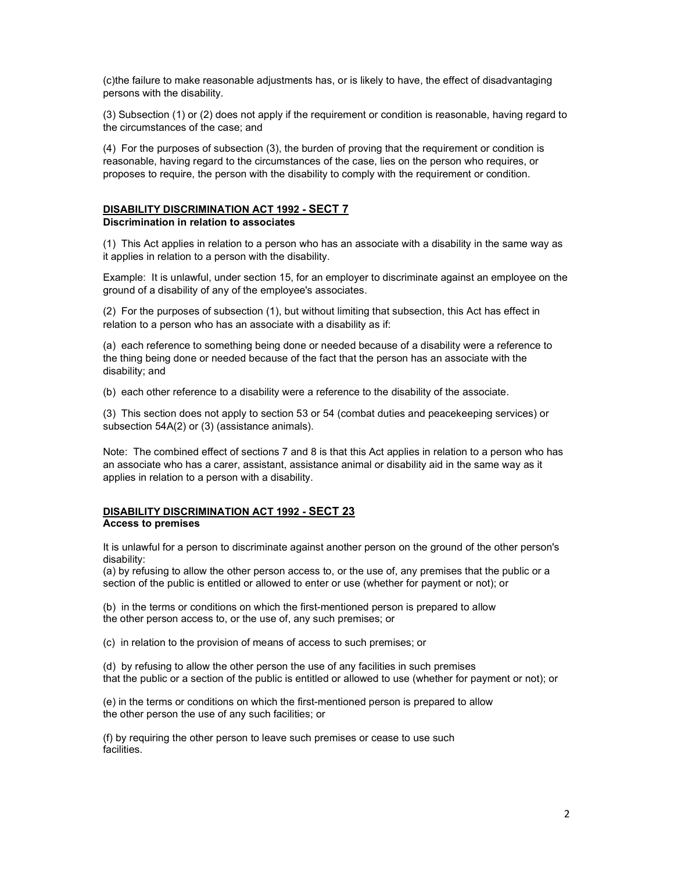(c)the failure to make reasonable adjustments has, or is likely to have, the effect of disadvantaging persons with the disability.

(3) Subsection (1) or (2) does not apply if the requirement or condition is reasonable, having regard to the circumstances of the case; and

(4) For the purposes of subsection (3), the burden of proving that the requirement or condition is reasonable, having regard to the circumstances of the case, lies on the person who requires, or proposes to require, the person with the disability to comply with the requirement or condition.

#### DISABILITY DISCRIMINATION ACT 1992 - SECT 7

#### Discrimination in relation to associates

(1) This Act applies in relation to a person who has an associate with a disability in the same way as it applies in relation to a person with the disability.

Example: It is unlawful, under section 15, for an employer to discriminate against an employee on the ground of a disability of any of the employee's associates.

(2) For the purposes of subsection (1), but without limiting that subsection, this Act has effect in relation to a person who has an associate with a disability as if:

(a) each reference to something being done or needed because of a disability were a reference to the thing being done or needed because of the fact that the person has an associate with the disability; and

(b) each other reference to a disability were a reference to the disability of the associate.

(3) This section does not apply to section 53 or 54 (combat duties and peacekeeping services) or subsection 54A(2) or (3) (assistance animals).

Note: The combined effect of sections 7 and 8 is that this Act applies in relation to a person who has an associate who has a carer, assistant, assistance animal or disability aid in the same way as it applies in relation to a person with a disability.

#### DISABILITY DISCRIMINATION ACT 1992 - SECT 23 Access to premises

It is unlawful for a person to discriminate against another person on the ground of the other person's disability:

(a) by refusing to allow the other person access to, or the use of, any premises that the public or a section of the public is entitled or allowed to enter or use (whether for payment or not); or

(b) in the terms or conditions on which the first-mentioned person is prepared to allow the other person access to, or the use of, any such premises; or

(c) in relation to the provision of means of access to such premises; or

(d) by refusing to allow the other person the use of any facilities in such premises that the public or a section of the public is entitled or allowed to use (whether for payment or not); or

(e) in the terms or conditions on which the first-mentioned person is prepared to allow the other person the use of any such facilities; or

(f) by requiring the other person to leave such premises or cease to use such facilities.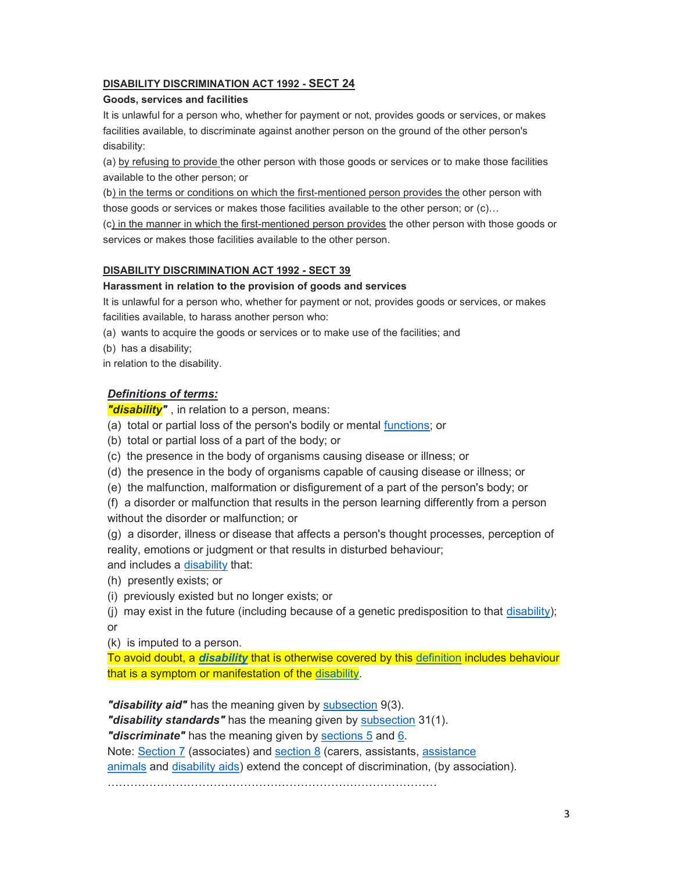# DISABILITY DISCRIMINATION ACT 1992 - SECT 24

#### Goods, services and facilities

It is unlawful for a person who, whether for payment or not, provides goods or services, or makes facilities available, to discriminate against another person on the ground of the other person's disability:

(a) by refusing to provide the other person with those goods or services or to make those facilities available to the other person; or

(b) in the terms or conditions on which the first-mentioned person provides the other person with those goods or services or makes those facilities available to the other person; or (c)…

(c) in the manner in which the first-mentioned person provides the other person with those goods or services or makes those facilities available to the other person.

## DISABILITY DISCRIMINATION ACT 1992 - SECT 39

#### Harassment in relation to the provision of goods and services

It is unlawful for a person who, whether for payment or not, provides goods or services, or makes facilities available, to harass another person who:

- (a) wants to acquire the goods or services or to make use of the facilities; and
- (b) has a disability;

in relation to the disability.

## Definitions of terms:

"**disability**", in relation to a person, means:

- (a) total or partial loss of the person's bodily or mental functions; or
- (b) total or partial loss of a part of the body; or
- (c) the presence in the body of organisms causing disease or illness; or
- (d) the presence in the body of organisms capable of causing disease or illness; or
- (e) the malfunction, malformation or disfigurement of a part of the person's body; or
- (f) a disorder or malfunction that results in the person learning differently from a person without the disorder or malfunction; or
- (g) a disorder, illness or disease that affects a person's thought processes, perception of reality, emotions or judgment or that results in disturbed behaviour;

and includes a disability that:

- (h) presently exists; or
- (i) previously existed but no longer exists; or

(i) may exist in the future (including because of a genetic predisposition to that  $disability$ ); or

(k) is imputed to a person.

To avoid doubt, a *disability* that is otherwise covered by this definition includes behaviour that is a symptom or manifestation of the disability.

"**disability aid"** has the meaning given by subsection 9(3).

"disability standards" has the meaning given by subsection 31(1).

"discriminate" has the meaning given by sections 5 and 6.

Note: Section 7 (associates) and section 8 (carers, assistants, assistance

animals and disability aids) extend the concept of discrimination, (by association).

……………………………………………………………………………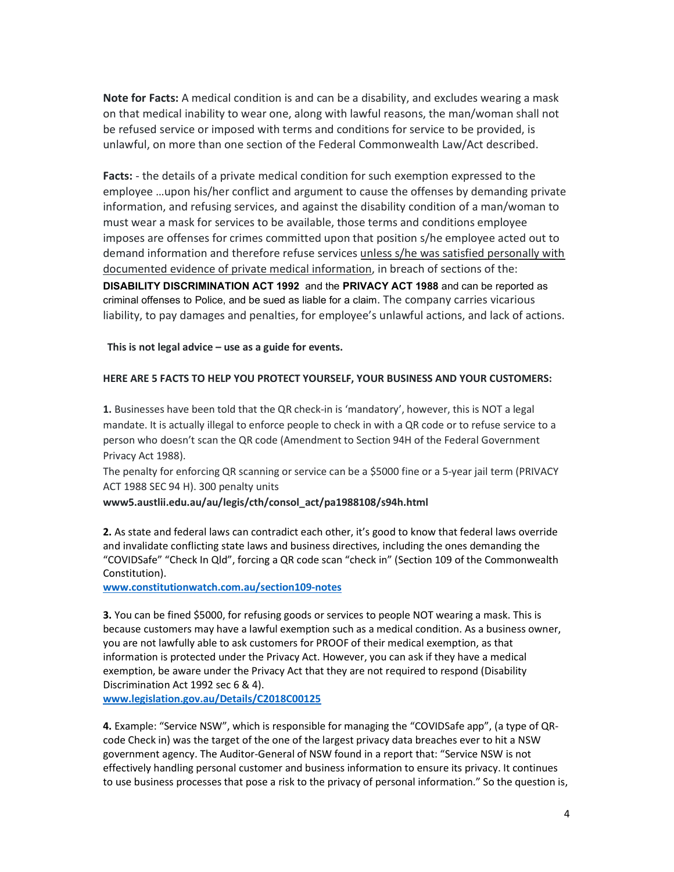Note for Facts: A medical condition is and can be a disability, and excludes wearing a mask on that medical inability to wear one, along with lawful reasons, the man/woman shall not be refused service or imposed with terms and conditions for service to be provided, is unlawful, on more than one section of the Federal Commonwealth Law/Act described.

Facts: - the details of a private medical condition for such exemption expressed to the employee …upon his/her conflict and argument to cause the offenses by demanding private information, and refusing services, and against the disability condition of a man/woman to must wear a mask for services to be available, those terms and conditions employee imposes are offenses for crimes committed upon that position s/he employee acted out to demand information and therefore refuse services unless s/he was satisfied personally with documented evidence of private medical information, in breach of sections of the: DISABILITY DISCRIMINATION ACT 1992 and the PRIVACY ACT 1988 and can be reported as criminal offenses to Police, and be sued as liable for a claim. The company carries vicarious liability, to pay damages and penalties, for employee's unlawful actions, and lack of actions.

This is not legal advice  $-$  use as a guide for events.

## HERE ARE 5 FACTS TO HELP YOU PROTECT YOURSELF, YOUR BUSINESS AND YOUR CUSTOMERS:

1. Businesses have been told that the QR check-in is 'mandatory', however, this is NOT a legal mandate. It is actually illegal to enforce people to check in with a QR code or to refuse service to a person who doesn't scan the QR code (Amendment to Section 94H of the Federal Government Privacy Act 1988).

The penalty for enforcing QR scanning or service can be a \$5000 fine or a 5-year jail term (PRIVACY ACT 1988 SEC 94 H). 300 penalty units

www5.austlii.edu.au/au/legis/cth/consol\_act/pa1988108/s94h.html

2. As state and federal laws can contradict each other, it's good to know that federal laws override and invalidate conflicting state laws and business directives, including the ones demanding the "COVIDSafe" "Check In Qld", forcing a QR code scan "check in" (Section 109 of the Commonwealth Constitution).

www.constitutionwatch.com.au/section109-notes

3. You can be fined \$5000, for refusing goods or services to people NOT wearing a mask. This is because customers may have a lawful exemption such as a medical condition. As a business owner, you are not lawfully able to ask customers for PROOF of their medical exemption, as that information is protected under the Privacy Act. However, you can ask if they have a medical exemption, be aware under the Privacy Act that they are not required to respond (Disability Discrimination Act 1992 sec 6 & 4).

www.legislation.gov.au/Details/C2018C00125

4. Example: "Service NSW", which is responsible for managing the "COVIDSafe app", (a type of QRcode Check in) was the target of the one of the largest privacy data breaches ever to hit a NSW government agency. The Auditor-General of NSW found in a report that: "Service NSW is not effectively handling personal customer and business information to ensure its privacy. It continues to use business processes that pose a risk to the privacy of personal information." So the question is,